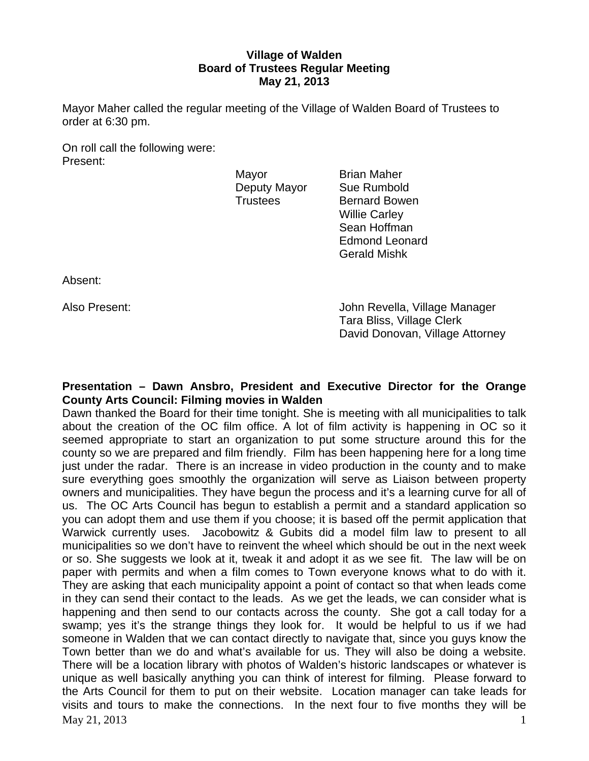# **Village of Walden Board of Trustees Regular Meeting May 21, 2013**

Mayor Maher called the regular meeting of the Village of Walden Board of Trustees to order at 6:30 pm.

On roll call the following were: Present:

Mayor **Brian Maher** Deputy Mayor Sue Rumbold

Trustees Bernard Bowen Willie Carley Sean Hoffman Edmond Leonard Gerald Mishk

Absent:

Also Present: John Revella, Village Manager Tara Bliss, Village Clerk David Donovan, Village Attorney

### **Presentation – Dawn Ansbro, President and Executive Director for the Orange County Arts Council: Filming movies in Walden**

 $\text{Mav } 21, 2013$  1 Dawn thanked the Board for their time tonight. She is meeting with all municipalities to talk about the creation of the OC film office. A lot of film activity is happening in OC so it seemed appropriate to start an organization to put some structure around this for the county so we are prepared and film friendly. Film has been happening here for a long time just under the radar. There is an increase in video production in the county and to make sure everything goes smoothly the organization will serve as Liaison between property owners and municipalities. They have begun the process and it's a learning curve for all of us. The OC Arts Council has begun to establish a permit and a standard application so you can adopt them and use them if you choose; it is based off the permit application that Warwick currently uses. Jacobowitz & Gubits did a model film law to present to all municipalities so we don't have to reinvent the wheel which should be out in the next week or so. She suggests we look at it, tweak it and adopt it as we see fit. The law will be on paper with permits and when a film comes to Town everyone knows what to do with it. They are asking that each municipality appoint a point of contact so that when leads come in they can send their contact to the leads. As we get the leads, we can consider what is happening and then send to our contacts across the county. She got a call today for a swamp; yes it's the strange things they look for. It would be helpful to us if we had someone in Walden that we can contact directly to navigate that, since you guys know the Town better than we do and what's available for us. They will also be doing a website. There will be a location library with photos of Walden's historic landscapes or whatever is unique as well basically anything you can think of interest for filming. Please forward to the Arts Council for them to put on their website. Location manager can take leads for visits and tours to make the connections. In the next four to five months they will be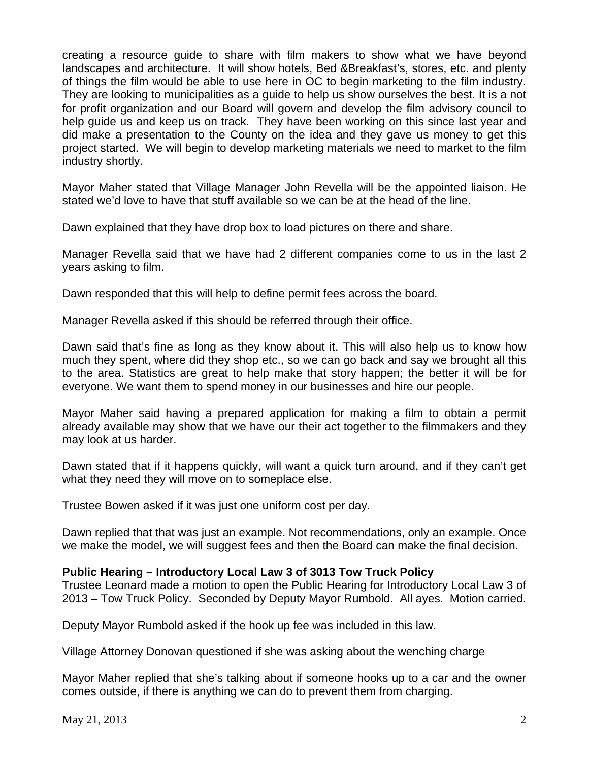creating a resource guide to share with film makers to show what we have beyond landscapes and architecture. It will show hotels, Bed &Breakfast's, stores, etc. and plenty of things the film would be able to use here in OC to begin marketing to the film industry. They are looking to municipalities as a guide to help us show ourselves the best. It is a not for profit organization and our Board will govern and develop the film advisory council to help guide us and keep us on track. They have been working on this since last year and did make a presentation to the County on the idea and they gave us money to get this project started. We will begin to develop marketing materials we need to market to the film industry shortly.

Mayor Maher stated that Village Manager John Revella will be the appointed liaison. He stated we'd love to have that stuff available so we can be at the head of the line.

Dawn explained that they have drop box to load pictures on there and share.

Manager Revella said that we have had 2 different companies come to us in the last 2 years asking to film.

Dawn responded that this will help to define permit fees across the board.

Manager Revella asked if this should be referred through their office.

Dawn said that's fine as long as they know about it. This will also help us to know how much they spent, where did they shop etc., so we can go back and say we brought all this to the area. Statistics are great to help make that story happen; the better it will be for everyone. We want them to spend money in our businesses and hire our people.

Mayor Maher said having a prepared application for making a film to obtain a permit already available may show that we have our their act together to the filmmakers and they may look at us harder.

Dawn stated that if it happens quickly, will want a quick turn around, and if they can't get what they need they will move on to someplace else.

Trustee Bowen asked if it was just one uniform cost per day.

Dawn replied that that was just an example. Not recommendations, only an example. Once we make the model, we will suggest fees and then the Board can make the final decision.

# **Public Hearing – Introductory Local Law 3 of 3013 Tow Truck Policy**

Trustee Leonard made a motion to open the Public Hearing for Introductory Local Law 3 of 2013 – Tow Truck Policy. Seconded by Deputy Mayor Rumbold. All ayes. Motion carried.

Deputy Mayor Rumbold asked if the hook up fee was included in this law.

Village Attorney Donovan questioned if she was asking about the wenching charge

Mayor Maher replied that she's talking about if someone hooks up to a car and the owner comes outside, if there is anything we can do to prevent them from charging.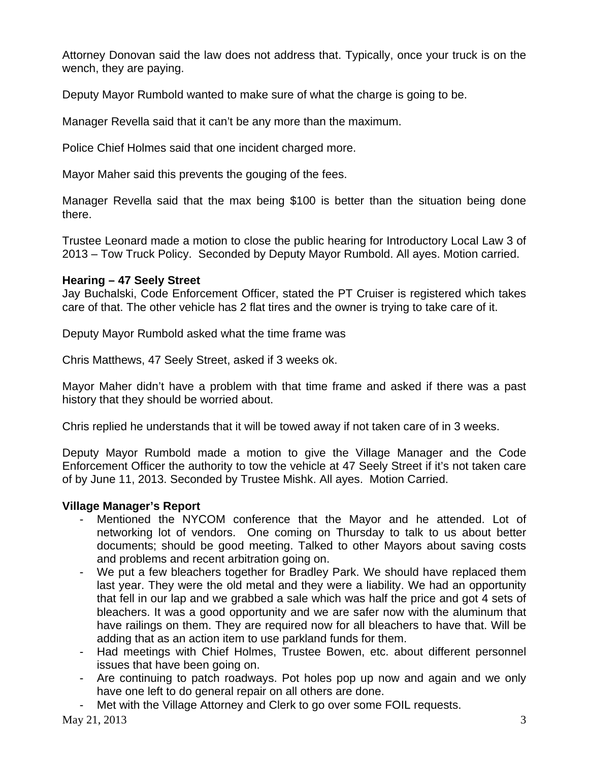Attorney Donovan said the law does not address that. Typically, once your truck is on the wench, they are paying.

Deputy Mayor Rumbold wanted to make sure of what the charge is going to be.

Manager Revella said that it can't be any more than the maximum.

Police Chief Holmes said that one incident charged more.

Mayor Maher said this prevents the gouging of the fees.

Manager Revella said that the max being \$100 is better than the situation being done there.

Trustee Leonard made a motion to close the public hearing for Introductory Local Law 3 of 2013 – Tow Truck Policy. Seconded by Deputy Mayor Rumbold. All ayes. Motion carried.

# **Hearing – 47 Seely Street**

Jay Buchalski, Code Enforcement Officer, stated the PT Cruiser is registered which takes care of that. The other vehicle has 2 flat tires and the owner is trying to take care of it.

Deputy Mayor Rumbold asked what the time frame was

Chris Matthews, 47 Seely Street, asked if 3 weeks ok.

Mayor Maher didn't have a problem with that time frame and asked if there was a past history that they should be worried about.

Chris replied he understands that it will be towed away if not taken care of in 3 weeks.

Deputy Mayor Rumbold made a motion to give the Village Manager and the Code Enforcement Officer the authority to tow the vehicle at 47 Seely Street if it's not taken care of by June 11, 2013. Seconded by Trustee Mishk. All ayes. Motion Carried.

# **Village Manager's Report**

- Mentioned the NYCOM conference that the Mayor and he attended. Lot of networking lot of vendors. One coming on Thursday to talk to us about better documents; should be good meeting. Talked to other Mayors about saving costs and problems and recent arbitration going on.
- We put a few bleachers together for Bradley Park. We should have replaced them last year. They were the old metal and they were a liability. We had an opportunity that fell in our lap and we grabbed a sale which was half the price and got 4 sets of bleachers. It was a good opportunity and we are safer now with the aluminum that have railings on them. They are required now for all bleachers to have that. Will be adding that as an action item to use parkland funds for them.
- Had meetings with Chief Holmes, Trustee Bowen, etc. about different personnel issues that have been going on.
- Are continuing to patch roadways. Pot holes pop up now and again and we only have one left to do general repair on all others are done.
- Met with the Village Attorney and Clerk to go over some FOIL requests.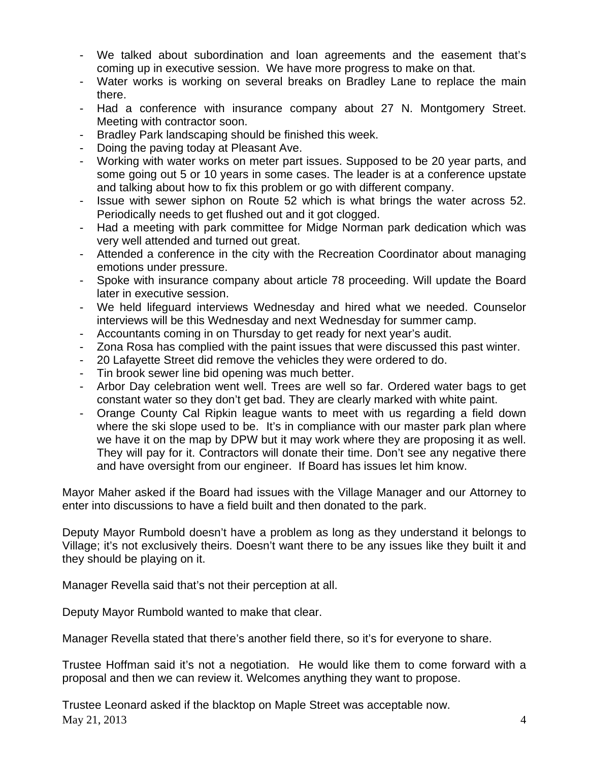- We talked about subordination and loan agreements and the easement that's coming up in executive session. We have more progress to make on that.
- Water works is working on several breaks on Bradley Lane to replace the main there.
- Had a conference with insurance company about 27 N. Montgomery Street. Meeting with contractor soon.
- Bradley Park landscaping should be finished this week.
- Doing the paving today at Pleasant Ave.
- Working with water works on meter part issues. Supposed to be 20 year parts, and some going out 5 or 10 years in some cases. The leader is at a conference upstate and talking about how to fix this problem or go with different company.
- Issue with sewer siphon on Route 52 which is what brings the water across 52. Periodically needs to get flushed out and it got clogged.
- Had a meeting with park committee for Midge Norman park dedication which was very well attended and turned out great.
- Attended a conference in the city with the Recreation Coordinator about managing emotions under pressure.
- Spoke with insurance company about article 78 proceeding. Will update the Board later in executive session.
- We held lifeguard interviews Wednesday and hired what we needed. Counselor interviews will be this Wednesday and next Wednesday for summer camp.
- Accountants coming in on Thursday to get ready for next year's audit.
- Zona Rosa has complied with the paint issues that were discussed this past winter.
- 20 Lafayette Street did remove the vehicles they were ordered to do.
- Tin brook sewer line bid opening was much better.
- Arbor Day celebration went well. Trees are well so far. Ordered water bags to get constant water so they don't get bad. They are clearly marked with white paint.
- Orange County Cal Ripkin league wants to meet with us regarding a field down where the ski slope used to be. It's in compliance with our master park plan where we have it on the map by DPW but it may work where they are proposing it as well. They will pay for it. Contractors will donate their time. Don't see any negative there and have oversight from our engineer. If Board has issues let him know.

Mayor Maher asked if the Board had issues with the Village Manager and our Attorney to enter into discussions to have a field built and then donated to the park.

Deputy Mayor Rumbold doesn't have a problem as long as they understand it belongs to Village; it's not exclusively theirs. Doesn't want there to be any issues like they built it and they should be playing on it.

Manager Revella said that's not their perception at all.

Deputy Mayor Rumbold wanted to make that clear.

Manager Revella stated that there's another field there, so it's for everyone to share.

Trustee Hoffman said it's not a negotiation. He would like them to come forward with a proposal and then we can review it. Welcomes anything they want to propose.

 $\text{May } 21, 2013$  4 Trustee Leonard asked if the blacktop on Maple Street was acceptable now.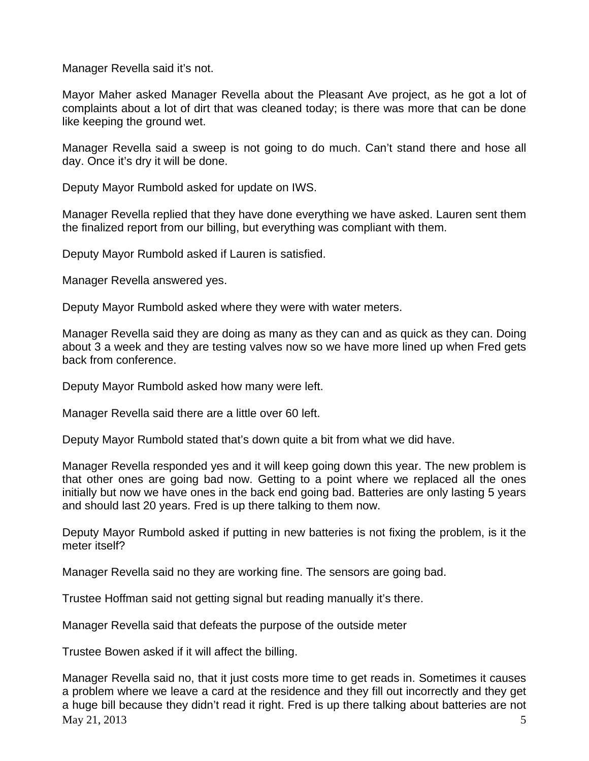Manager Revella said it's not.

Mayor Maher asked Manager Revella about the Pleasant Ave project, as he got a lot of complaints about a lot of dirt that was cleaned today; is there was more that can be done like keeping the ground wet.

Manager Revella said a sweep is not going to do much. Can't stand there and hose all day. Once it's dry it will be done.

Deputy Mayor Rumbold asked for update on IWS.

Manager Revella replied that they have done everything we have asked. Lauren sent them the finalized report from our billing, but everything was compliant with them.

Deputy Mayor Rumbold asked if Lauren is satisfied.

Manager Revella answered yes.

Deputy Mayor Rumbold asked where they were with water meters.

Manager Revella said they are doing as many as they can and as quick as they can. Doing about 3 a week and they are testing valves now so we have more lined up when Fred gets back from conference.

Deputy Mayor Rumbold asked how many were left.

Manager Revella said there are a little over 60 left.

Deputy Mayor Rumbold stated that's down quite a bit from what we did have.

Manager Revella responded yes and it will keep going down this year. The new problem is that other ones are going bad now. Getting to a point where we replaced all the ones initially but now we have ones in the back end going bad. Batteries are only lasting 5 years and should last 20 years. Fred is up there talking to them now.

Deputy Mayor Rumbold asked if putting in new batteries is not fixing the problem, is it the meter itself?

Manager Revella said no they are working fine. The sensors are going bad.

Trustee Hoffman said not getting signal but reading manually it's there.

Manager Revella said that defeats the purpose of the outside meter

Trustee Bowen asked if it will affect the billing.

 $\text{Mav } 21, 2013$  5 Manager Revella said no, that it just costs more time to get reads in. Sometimes it causes a problem where we leave a card at the residence and they fill out incorrectly and they get a huge bill because they didn't read it right. Fred is up there talking about batteries are not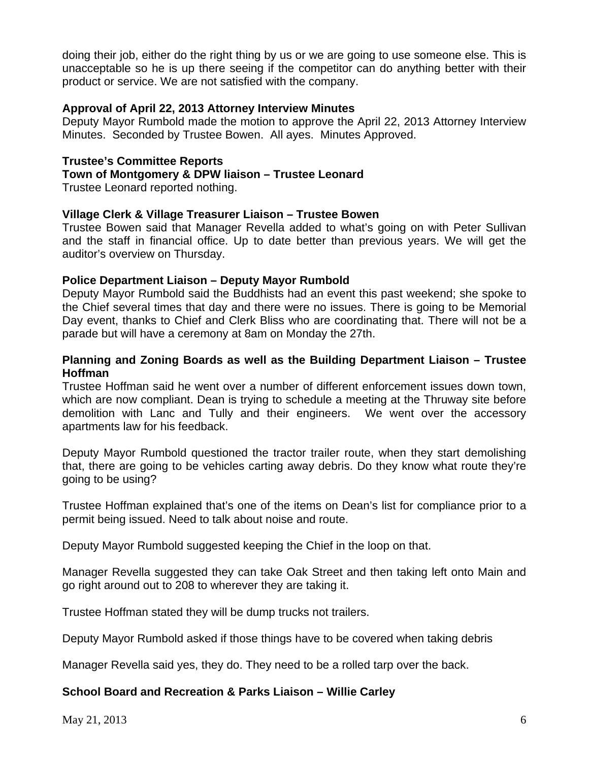doing their job, either do the right thing by us or we are going to use someone else. This is unacceptable so he is up there seeing if the competitor can do anything better with their product or service. We are not satisfied with the company.

### **Approval of April 22, 2013 Attorney Interview Minutes**

Deputy Mayor Rumbold made the motion to approve the April 22, 2013 Attorney Interview Minutes. Seconded by Trustee Bowen. All ayes. Minutes Approved.

# **Trustee's Committee Reports**

# **Town of Montgomery & DPW liaison – Trustee Leonard**

Trustee Leonard reported nothing.

### **Village Clerk & Village Treasurer Liaison – Trustee Bowen**

Trustee Bowen said that Manager Revella added to what's going on with Peter Sullivan and the staff in financial office. Up to date better than previous years. We will get the auditor's overview on Thursday.

### **Police Department Liaison – Deputy Mayor Rumbold**

Deputy Mayor Rumbold said the Buddhists had an event this past weekend; she spoke to the Chief several times that day and there were no issues. There is going to be Memorial Day event, thanks to Chief and Clerk Bliss who are coordinating that. There will not be a parade but will have a ceremony at 8am on Monday the 27th.

### **Planning and Zoning Boards as well as the Building Department Liaison – Trustee Hoffman**

Trustee Hoffman said he went over a number of different enforcement issues down town, which are now compliant. Dean is trying to schedule a meeting at the Thruway site before demolition with Lanc and Tully and their engineers. We went over the accessory apartments law for his feedback.

Deputy Mayor Rumbold questioned the tractor trailer route, when they start demolishing that, there are going to be vehicles carting away debris. Do they know what route they're going to be using?

Trustee Hoffman explained that's one of the items on Dean's list for compliance prior to a permit being issued. Need to talk about noise and route.

Deputy Mayor Rumbold suggested keeping the Chief in the loop on that.

Manager Revella suggested they can take Oak Street and then taking left onto Main and go right around out to 208 to wherever they are taking it.

Trustee Hoffman stated they will be dump trucks not trailers.

Deputy Mayor Rumbold asked if those things have to be covered when taking debris

Manager Revella said yes, they do. They need to be a rolled tarp over the back.

# **School Board and Recreation & Parks Liaison – Willie Carley**

May 21, 2013 6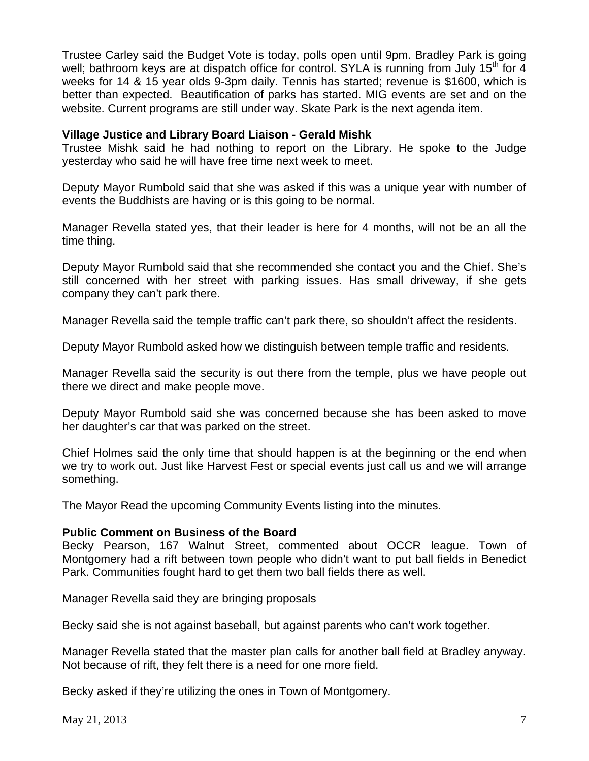Trustee Carley said the Budget Vote is today, polls open until 9pm. Bradley Park is going well; bathroom keys are at dispatch office for control. SYLA is running from July 15<sup>th</sup> for 4 weeks for 14 & 15 year olds 9-3pm daily. Tennis has started; revenue is \$1600, which is better than expected. Beautification of parks has started. MIG events are set and on the website. Current programs are still under way. Skate Park is the next agenda item.

### **Village Justice and Library Board Liaison - Gerald Mishk**

Trustee Mishk said he had nothing to report on the Library. He spoke to the Judge yesterday who said he will have free time next week to meet.

Deputy Mayor Rumbold said that she was asked if this was a unique year with number of events the Buddhists are having or is this going to be normal.

Manager Revella stated yes, that their leader is here for 4 months, will not be an all the time thing.

Deputy Mayor Rumbold said that she recommended she contact you and the Chief. She's still concerned with her street with parking issues. Has small driveway, if she gets company they can't park there.

Manager Revella said the temple traffic can't park there, so shouldn't affect the residents.

Deputy Mayor Rumbold asked how we distinguish between temple traffic and residents.

Manager Revella said the security is out there from the temple, plus we have people out there we direct and make people move.

Deputy Mayor Rumbold said she was concerned because she has been asked to move her daughter's car that was parked on the street.

Chief Holmes said the only time that should happen is at the beginning or the end when we try to work out. Just like Harvest Fest or special events just call us and we will arrange something.

The Mayor Read the upcoming Community Events listing into the minutes.

### **Public Comment on Business of the Board**

Becky Pearson, 167 Walnut Street, commented about OCCR league. Town of Montgomery had a rift between town people who didn't want to put ball fields in Benedict Park. Communities fought hard to get them two ball fields there as well.

Manager Revella said they are bringing proposals

Becky said she is not against baseball, but against parents who can't work together.

Manager Revella stated that the master plan calls for another ball field at Bradley anyway. Not because of rift, they felt there is a need for one more field.

Becky asked if they're utilizing the ones in Town of Montgomery.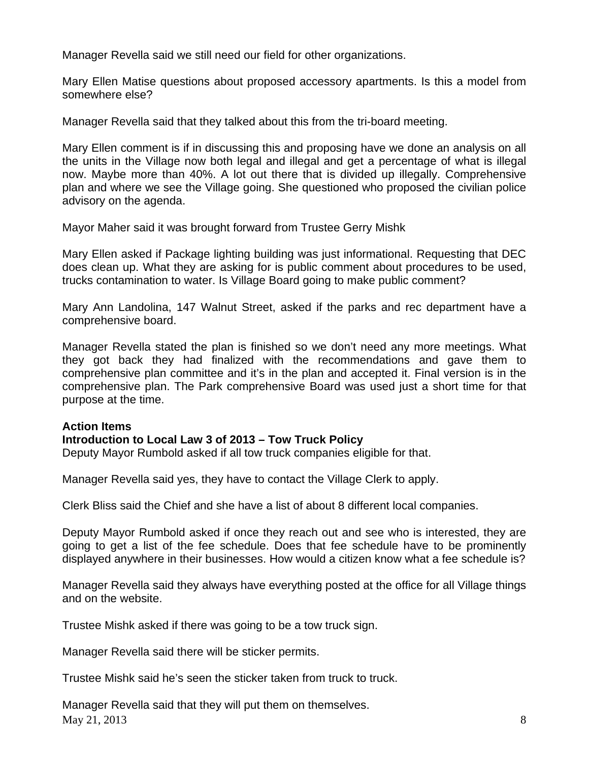Manager Revella said we still need our field for other organizations.

Mary Ellen Matise questions about proposed accessory apartments. Is this a model from somewhere else?

Manager Revella said that they talked about this from the tri-board meeting.

Mary Ellen comment is if in discussing this and proposing have we done an analysis on all the units in the Village now both legal and illegal and get a percentage of what is illegal now. Maybe more than 40%. A lot out there that is divided up illegally. Comprehensive plan and where we see the Village going. She questioned who proposed the civilian police advisory on the agenda.

Mayor Maher said it was brought forward from Trustee Gerry Mishk

Mary Ellen asked if Package lighting building was just informational. Requesting that DEC does clean up. What they are asking for is public comment about procedures to be used, trucks contamination to water. Is Village Board going to make public comment?

Mary Ann Landolina, 147 Walnut Street, asked if the parks and rec department have a comprehensive board.

Manager Revella stated the plan is finished so we don't need any more meetings. What they got back they had finalized with the recommendations and gave them to comprehensive plan committee and it's in the plan and accepted it. Final version is in the comprehensive plan. The Park comprehensive Board was used just a short time for that purpose at the time.

# **Action Items**

### **Introduction to Local Law 3 of 2013 – Tow Truck Policy**

Deputy Mayor Rumbold asked if all tow truck companies eligible for that.

Manager Revella said yes, they have to contact the Village Clerk to apply.

Clerk Bliss said the Chief and she have a list of about 8 different local companies.

Deputy Mayor Rumbold asked if once they reach out and see who is interested, they are going to get a list of the fee schedule. Does that fee schedule have to be prominently displayed anywhere in their businesses. How would a citizen know what a fee schedule is?

Manager Revella said they always have everything posted at the office for all Village things and on the website.

Trustee Mishk asked if there was going to be a tow truck sign.

Manager Revella said there will be sticker permits.

Trustee Mishk said he's seen the sticker taken from truck to truck.

 $\text{May } 21, 2013$  8 Manager Revella said that they will put them on themselves.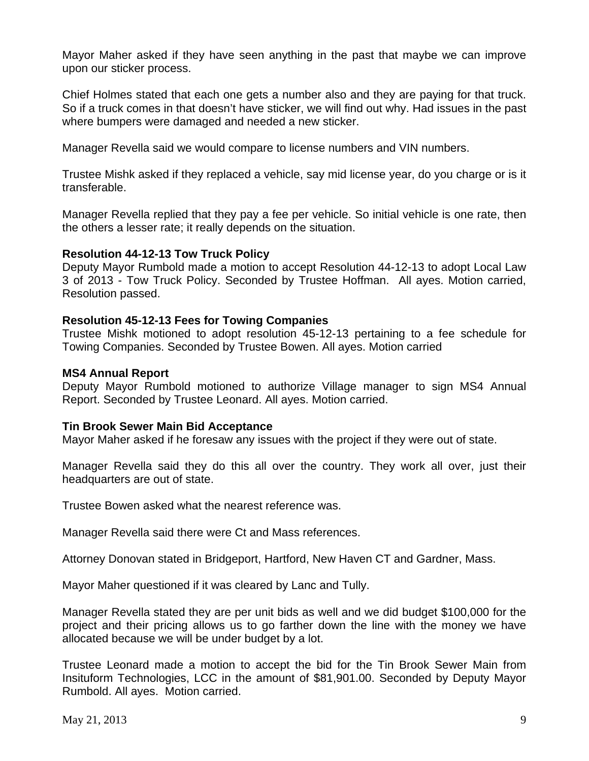Mayor Maher asked if they have seen anything in the past that maybe we can improve upon our sticker process.

Chief Holmes stated that each one gets a number also and they are paying for that truck. So if a truck comes in that doesn't have sticker, we will find out why. Had issues in the past where bumpers were damaged and needed a new sticker.

Manager Revella said we would compare to license numbers and VIN numbers.

Trustee Mishk asked if they replaced a vehicle, say mid license year, do you charge or is it transferable.

Manager Revella replied that they pay a fee per vehicle. So initial vehicle is one rate, then the others a lesser rate; it really depends on the situation.

### **Resolution 44-12-13 Tow Truck Policy**

Deputy Mayor Rumbold made a motion to accept Resolution 44-12-13 to adopt Local Law 3 of 2013 - Tow Truck Policy. Seconded by Trustee Hoffman. All ayes. Motion carried, Resolution passed.

### **Resolution 45-12-13 Fees for Towing Companies**

Trustee Mishk motioned to adopt resolution 45-12-13 pertaining to a fee schedule for Towing Companies. Seconded by Trustee Bowen. All ayes. Motion carried

### **MS4 Annual Report**

Deputy Mayor Rumbold motioned to authorize Village manager to sign MS4 Annual Report. Seconded by Trustee Leonard. All ayes. Motion carried.

### **Tin Brook Sewer Main Bid Acceptance**

Mayor Maher asked if he foresaw any issues with the project if they were out of state.

Manager Revella said they do this all over the country. They work all over, just their headquarters are out of state.

Trustee Bowen asked what the nearest reference was.

Manager Revella said there were Ct and Mass references.

Attorney Donovan stated in Bridgeport, Hartford, New Haven CT and Gardner, Mass.

Mayor Maher questioned if it was cleared by Lanc and Tully.

Manager Revella stated they are per unit bids as well and we did budget \$100,000 for the project and their pricing allows us to go farther down the line with the money we have allocated because we will be under budget by a lot.

Trustee Leonard made a motion to accept the bid for the Tin Brook Sewer Main from Insituform Technologies, LCC in the amount of \$81,901.00. Seconded by Deputy Mayor Rumbold. All ayes. Motion carried.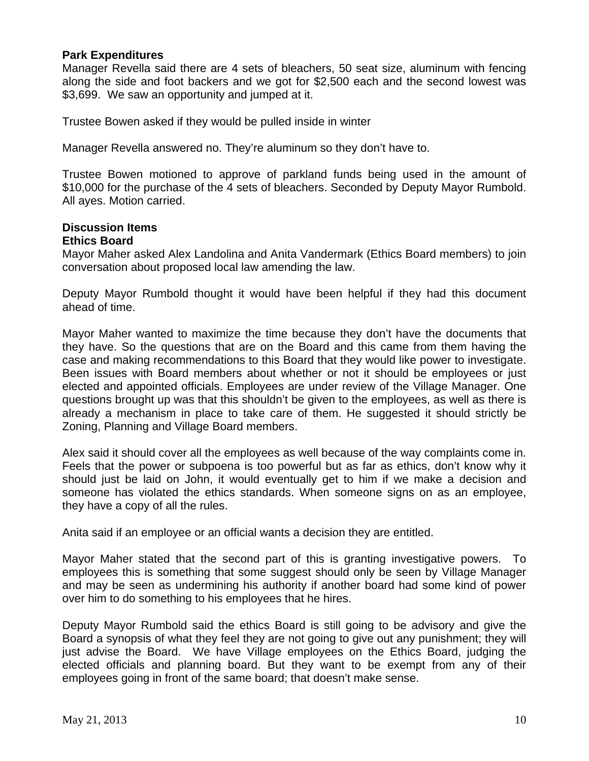### **Park Expenditures**

Manager Revella said there are 4 sets of bleachers, 50 seat size, aluminum with fencing along the side and foot backers and we got for \$2,500 each and the second lowest was \$3,699. We saw an opportunity and jumped at it.

Trustee Bowen asked if they would be pulled inside in winter

Manager Revella answered no. They're aluminum so they don't have to.

Trustee Bowen motioned to approve of parkland funds being used in the amount of \$10,000 for the purchase of the 4 sets of bleachers. Seconded by Deputy Mayor Rumbold. All ayes. Motion carried.

#### **Discussion Items Ethics Board**

Mayor Maher asked Alex Landolina and Anita Vandermark (Ethics Board members) to join conversation about proposed local law amending the law.

Deputy Mayor Rumbold thought it would have been helpful if they had this document ahead of time.

Mayor Maher wanted to maximize the time because they don't have the documents that they have. So the questions that are on the Board and this came from them having the case and making recommendations to this Board that they would like power to investigate. Been issues with Board members about whether or not it should be employees or just elected and appointed officials. Employees are under review of the Village Manager. One questions brought up was that this shouldn't be given to the employees, as well as there is already a mechanism in place to take care of them. He suggested it should strictly be Zoning, Planning and Village Board members.

Alex said it should cover all the employees as well because of the way complaints come in. Feels that the power or subpoena is too powerful but as far as ethics, don't know why it should just be laid on John, it would eventually get to him if we make a decision and someone has violated the ethics standards. When someone signs on as an employee, they have a copy of all the rules.

Anita said if an employee or an official wants a decision they are entitled.

Mayor Maher stated that the second part of this is granting investigative powers. To employees this is something that some suggest should only be seen by Village Manager and may be seen as undermining his authority if another board had some kind of power over him to do something to his employees that he hires.

Deputy Mayor Rumbold said the ethics Board is still going to be advisory and give the Board a synopsis of what they feel they are not going to give out any punishment; they will just advise the Board. We have Village employees on the Ethics Board, judging the elected officials and planning board. But they want to be exempt from any of their employees going in front of the same board; that doesn't make sense.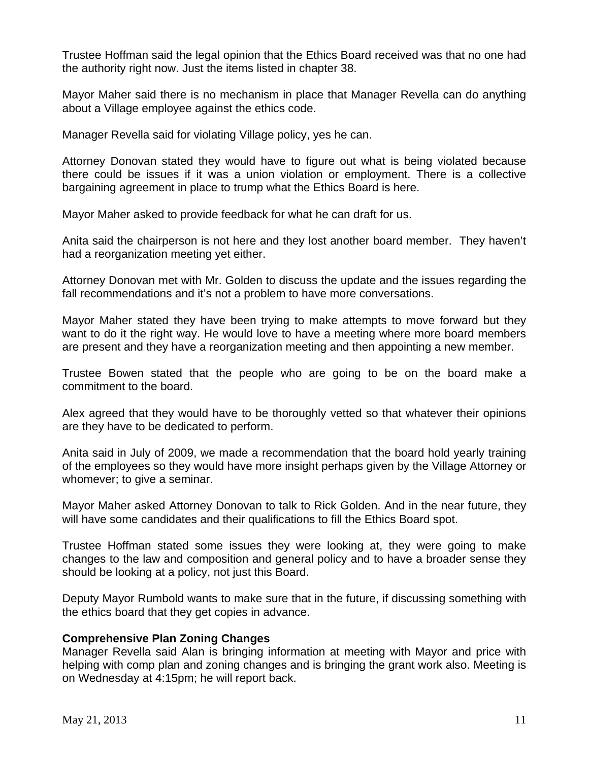Trustee Hoffman said the legal opinion that the Ethics Board received was that no one had the authority right now. Just the items listed in chapter 38.

Mayor Maher said there is no mechanism in place that Manager Revella can do anything about a Village employee against the ethics code.

Manager Revella said for violating Village policy, yes he can.

Attorney Donovan stated they would have to figure out what is being violated because there could be issues if it was a union violation or employment. There is a collective bargaining agreement in place to trump what the Ethics Board is here.

Mayor Maher asked to provide feedback for what he can draft for us.

Anita said the chairperson is not here and they lost another board member. They haven't had a reorganization meeting yet either.

Attorney Donovan met with Mr. Golden to discuss the update and the issues regarding the fall recommendations and it's not a problem to have more conversations.

Mayor Maher stated they have been trying to make attempts to move forward but they want to do it the right way. He would love to have a meeting where more board members are present and they have a reorganization meeting and then appointing a new member.

Trustee Bowen stated that the people who are going to be on the board make a commitment to the board.

Alex agreed that they would have to be thoroughly vetted so that whatever their opinions are they have to be dedicated to perform.

Anita said in July of 2009, we made a recommendation that the board hold yearly training of the employees so they would have more insight perhaps given by the Village Attorney or whomever; to give a seminar.

Mayor Maher asked Attorney Donovan to talk to Rick Golden. And in the near future, they will have some candidates and their qualifications to fill the Ethics Board spot.

Trustee Hoffman stated some issues they were looking at, they were going to make changes to the law and composition and general policy and to have a broader sense they should be looking at a policy, not just this Board.

Deputy Mayor Rumbold wants to make sure that in the future, if discussing something with the ethics board that they get copies in advance.

# **Comprehensive Plan Zoning Changes**

Manager Revella said Alan is bringing information at meeting with Mayor and price with helping with comp plan and zoning changes and is bringing the grant work also. Meeting is on Wednesday at 4:15pm; he will report back.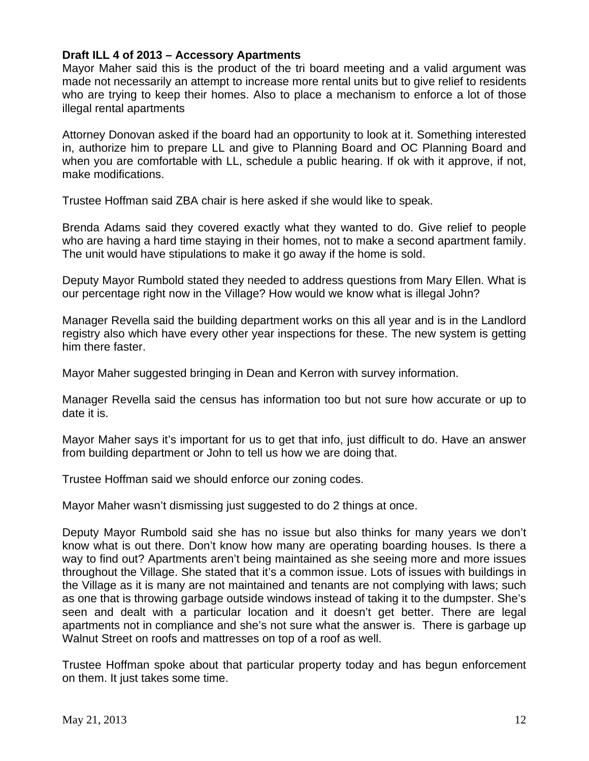# **Draft ILL 4 of 2013 – Accessory Apartments**

Mayor Maher said this is the product of the tri board meeting and a valid argument was made not necessarily an attempt to increase more rental units but to give relief to residents who are trying to keep their homes. Also to place a mechanism to enforce a lot of those illegal rental apartments

Attorney Donovan asked if the board had an opportunity to look at it. Something interested in, authorize him to prepare LL and give to Planning Board and OC Planning Board and when you are comfortable with LL, schedule a public hearing. If ok with it approve, if not, make modifications.

Trustee Hoffman said ZBA chair is here asked if she would like to speak.

Brenda Adams said they covered exactly what they wanted to do. Give relief to people who are having a hard time staying in their homes, not to make a second apartment family. The unit would have stipulations to make it go away if the home is sold.

Deputy Mayor Rumbold stated they needed to address questions from Mary Ellen. What is our percentage right now in the Village? How would we know what is illegal John?

Manager Revella said the building department works on this all year and is in the Landlord registry also which have every other year inspections for these. The new system is getting him there faster.

Mayor Maher suggested bringing in Dean and Kerron with survey information.

Manager Revella said the census has information too but not sure how accurate or up to date it is.

Mayor Maher says it's important for us to get that info, just difficult to do. Have an answer from building department or John to tell us how we are doing that.

Trustee Hoffman said we should enforce our zoning codes.

Mayor Maher wasn't dismissing just suggested to do 2 things at once.

Deputy Mayor Rumbold said she has no issue but also thinks for many years we don't know what is out there. Don't know how many are operating boarding houses. Is there a way to find out? Apartments aren't being maintained as she seeing more and more issues throughout the Village. She stated that it's a common issue. Lots of issues with buildings in the Village as it is many are not maintained and tenants are not complying with laws; such as one that is throwing garbage outside windows instead of taking it to the dumpster. She's seen and dealt with a particular location and it doesn't get better. There are legal apartments not in compliance and she's not sure what the answer is. There is garbage up Walnut Street on roofs and mattresses on top of a roof as well.

Trustee Hoffman spoke about that particular property today and has begun enforcement on them. It just takes some time.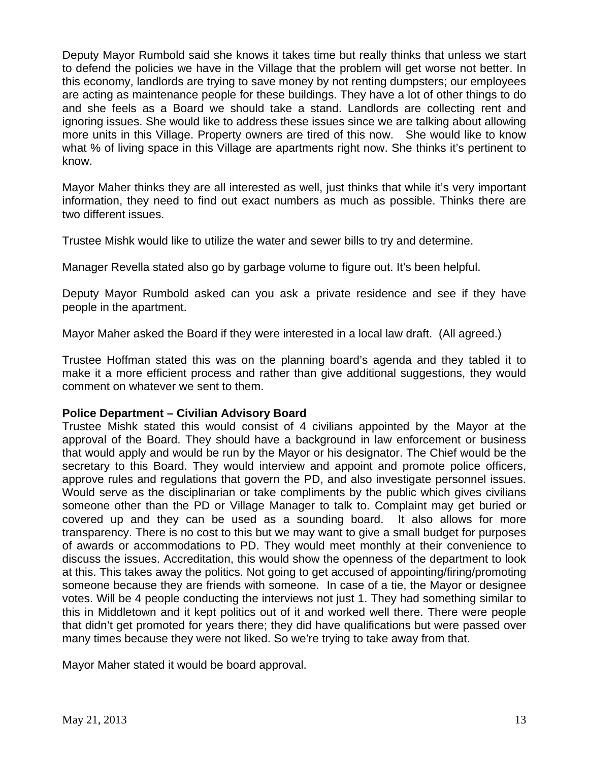Deputy Mayor Rumbold said she knows it takes time but really thinks that unless we start to defend the policies we have in the Village that the problem will get worse not better. In this economy, landlords are trying to save money by not renting dumpsters; our employees are acting as maintenance people for these buildings. They have a lot of other things to do and she feels as a Board we should take a stand. Landlords are collecting rent and ignoring issues. She would like to address these issues since we are talking about allowing more units in this Village. Property owners are tired of this now. She would like to know what % of living space in this Village are apartments right now. She thinks it's pertinent to know.

Mayor Maher thinks they are all interested as well, just thinks that while it's very important information, they need to find out exact numbers as much as possible. Thinks there are two different issues.

Trustee Mishk would like to utilize the water and sewer bills to try and determine.

Manager Revella stated also go by garbage volume to figure out. It's been helpful.

Deputy Mayor Rumbold asked can you ask a private residence and see if they have people in the apartment.

Mayor Maher asked the Board if they were interested in a local law draft. (All agreed.)

Trustee Hoffman stated this was on the planning board's agenda and they tabled it to make it a more efficient process and rather than give additional suggestions, they would comment on whatever we sent to them.

### **Police Department – Civilian Advisory Board**

Trustee Mishk stated this would consist of 4 civilians appointed by the Mayor at the approval of the Board. They should have a background in law enforcement or business that would apply and would be run by the Mayor or his designator. The Chief would be the secretary to this Board. They would interview and appoint and promote police officers, approve rules and regulations that govern the PD, and also investigate personnel issues. Would serve as the disciplinarian or take compliments by the public which gives civilians someone other than the PD or Village Manager to talk to. Complaint may get buried or covered up and they can be used as a sounding board. It also allows for more transparency. There is no cost to this but we may want to give a small budget for purposes of awards or accommodations to PD. They would meet monthly at their convenience to discuss the issues. Accreditation, this would show the openness of the department to look at this. This takes away the politics. Not going to get accused of appointing/firing/promoting someone because they are friends with someone. In case of a tie, the Mayor or designee votes. Will be 4 people conducting the interviews not just 1. They had something similar to this in Middletown and it kept politics out of it and worked well there. There were people that didn't get promoted for years there; they did have qualifications but were passed over many times because they were not liked. So we're trying to take away from that.

Mayor Maher stated it would be board approval.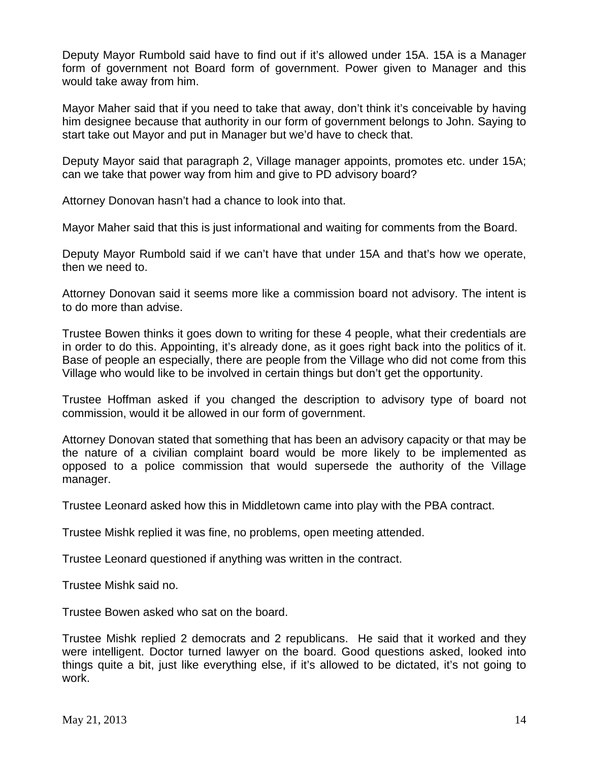Deputy Mayor Rumbold said have to find out if it's allowed under 15A. 15A is a Manager form of government not Board form of government. Power given to Manager and this would take away from him.

Mayor Maher said that if you need to take that away, don't think it's conceivable by having him designee because that authority in our form of government belongs to John. Saying to start take out Mayor and put in Manager but we'd have to check that.

Deputy Mayor said that paragraph 2, Village manager appoints, promotes etc. under 15A; can we take that power way from him and give to PD advisory board?

Attorney Donovan hasn't had a chance to look into that.

Mayor Maher said that this is just informational and waiting for comments from the Board.

Deputy Mayor Rumbold said if we can't have that under 15A and that's how we operate, then we need to.

Attorney Donovan said it seems more like a commission board not advisory. The intent is to do more than advise.

Trustee Bowen thinks it goes down to writing for these 4 people, what their credentials are in order to do this. Appointing, it's already done, as it goes right back into the politics of it. Base of people an especially, there are people from the Village who did not come from this Village who would like to be involved in certain things but don't get the opportunity.

Trustee Hoffman asked if you changed the description to advisory type of board not commission, would it be allowed in our form of government.

Attorney Donovan stated that something that has been an advisory capacity or that may be the nature of a civilian complaint board would be more likely to be implemented as opposed to a police commission that would supersede the authority of the Village manager.

Trustee Leonard asked how this in Middletown came into play with the PBA contract.

Trustee Mishk replied it was fine, no problems, open meeting attended.

Trustee Leonard questioned if anything was written in the contract.

Trustee Mishk said no.

Trustee Bowen asked who sat on the board.

Trustee Mishk replied 2 democrats and 2 republicans. He said that it worked and they were intelligent. Doctor turned lawyer on the board. Good questions asked, looked into things quite a bit, just like everything else, if it's allowed to be dictated, it's not going to work.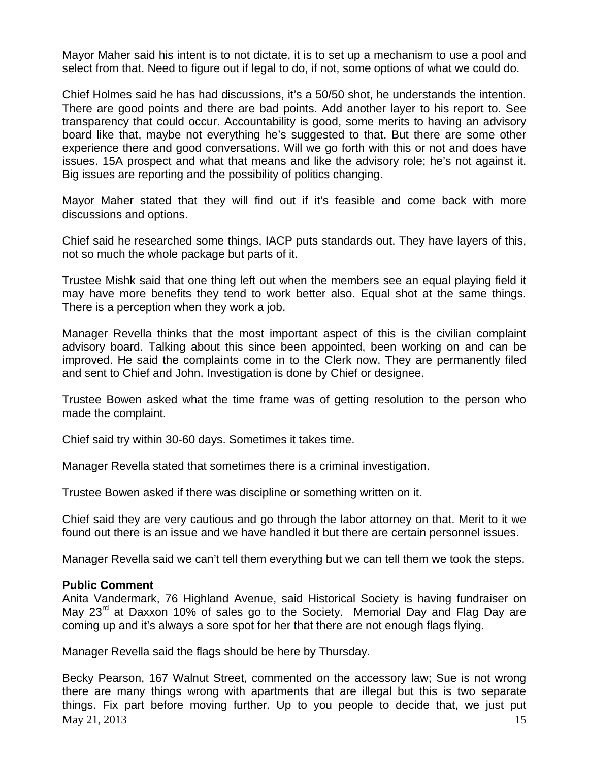Mayor Maher said his intent is to not dictate, it is to set up a mechanism to use a pool and select from that. Need to figure out if legal to do, if not, some options of what we could do.

Chief Holmes said he has had discussions, it's a 50/50 shot, he understands the intention. There are good points and there are bad points. Add another layer to his report to. See transparency that could occur. Accountability is good, some merits to having an advisory board like that, maybe not everything he's suggested to that. But there are some other experience there and good conversations. Will we go forth with this or not and does have issues. 15A prospect and what that means and like the advisory role; he's not against it. Big issues are reporting and the possibility of politics changing.

Mayor Maher stated that they will find out if it's feasible and come back with more discussions and options.

Chief said he researched some things, IACP puts standards out. They have layers of this, not so much the whole package but parts of it.

Trustee Mishk said that one thing left out when the members see an equal playing field it may have more benefits they tend to work better also. Equal shot at the same things. There is a perception when they work a job.

Manager Revella thinks that the most important aspect of this is the civilian complaint advisory board. Talking about this since been appointed, been working on and can be improved. He said the complaints come in to the Clerk now. They are permanently filed and sent to Chief and John. Investigation is done by Chief or designee.

Trustee Bowen asked what the time frame was of getting resolution to the person who made the complaint.

Chief said try within 30-60 days. Sometimes it takes time.

Manager Revella stated that sometimes there is a criminal investigation.

Trustee Bowen asked if there was discipline or something written on it.

Chief said they are very cautious and go through the labor attorney on that. Merit to it we found out there is an issue and we have handled it but there are certain personnel issues.

Manager Revella said we can't tell them everything but we can tell them we took the steps.

#### **Public Comment**

Anita Vandermark, 76 Highland Avenue, said Historical Society is having fundraiser on May 23<sup>rd</sup> at Daxxon 10% of sales go to the Society. Memorial Day and Flag Day are coming up and it's always a sore spot for her that there are not enough flags flying.

Manager Revella said the flags should be here by Thursday.

 $\text{Mav } 21, 2013$  15 Becky Pearson, 167 Walnut Street, commented on the accessory law; Sue is not wrong there are many things wrong with apartments that are illegal but this is two separate things. Fix part before moving further. Up to you people to decide that, we just put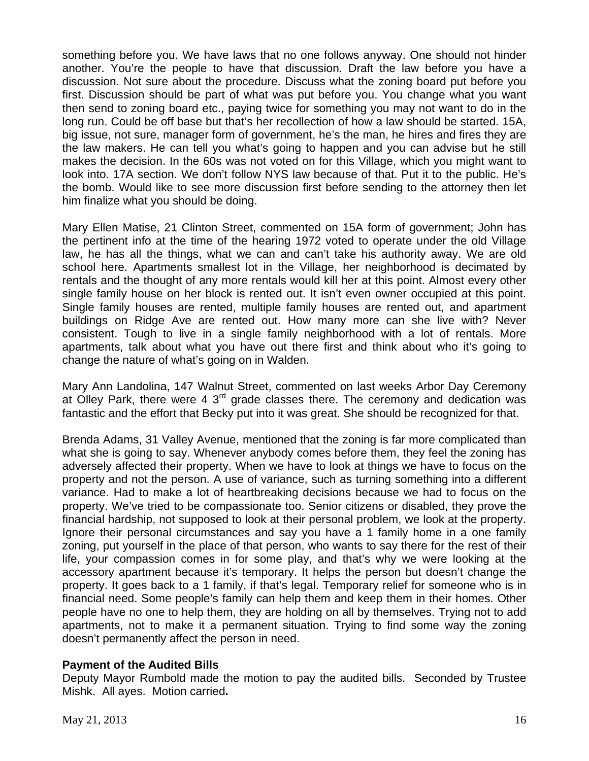something before you. We have laws that no one follows anyway. One should not hinder another. You're the people to have that discussion. Draft the law before you have a discussion. Not sure about the procedure. Discuss what the zoning board put before you first. Discussion should be part of what was put before you. You change what you want then send to zoning board etc., paying twice for something you may not want to do in the long run. Could be off base but that's her recollection of how a law should be started. 15A, big issue, not sure, manager form of government, he's the man, he hires and fires they are the law makers. He can tell you what's going to happen and you can advise but he still makes the decision. In the 60s was not voted on for this Village, which you might want to look into. 17A section. We don't follow NYS law because of that. Put it to the public. He's the bomb. Would like to see more discussion first before sending to the attorney then let him finalize what you should be doing.

Mary Ellen Matise, 21 Clinton Street, commented on 15A form of government; John has the pertinent info at the time of the hearing 1972 voted to operate under the old Village law, he has all the things, what we can and can't take his authority away. We are old school here. Apartments smallest lot in the Village, her neighborhood is decimated by rentals and the thought of any more rentals would kill her at this point. Almost every other single family house on her block is rented out. It isn't even owner occupied at this point. Single family houses are rented, multiple family houses are rented out, and apartment buildings on Ridge Ave are rented out. How many more can she live with? Never consistent. Tough to live in a single family neighborhood with a lot of rentals. More apartments, talk about what you have out there first and think about who it's going to change the nature of what's going on in Walden.

Mary Ann Landolina, 147 Walnut Street, commented on last weeks Arbor Day Ceremony at Olley Park, there were 4  $3<sup>rd</sup>$  grade classes there. The ceremony and dedication was fantastic and the effort that Becky put into it was great. She should be recognized for that.

Brenda Adams, 31 Valley Avenue, mentioned that the zoning is far more complicated than what she is going to say. Whenever anybody comes before them, they feel the zoning has adversely affected their property. When we have to look at things we have to focus on the property and not the person. A use of variance, such as turning something into a different variance. Had to make a lot of heartbreaking decisions because we had to focus on the property. We've tried to be compassionate too. Senior citizens or disabled, they prove the financial hardship, not supposed to look at their personal problem, we look at the property. Ignore their personal circumstances and say you have a 1 family home in a one family zoning, put yourself in the place of that person, who wants to say there for the rest of their life, your compassion comes in for some play, and that's why we were looking at the accessory apartment because it's temporary. It helps the person but doesn't change the property. It goes back to a 1 family, if that's legal. Temporary relief for someone who is in financial need. Some people's family can help them and keep them in their homes. Other people have no one to help them, they are holding on all by themselves. Trying not to add apartments, not to make it a permanent situation. Trying to find some way the zoning doesn't permanently affect the person in need.

# **Payment of the Audited Bills**

Deputy Mayor Rumbold made the motion to pay the audited bills. Seconded by Trustee Mishk. All ayes. Motion carried**.**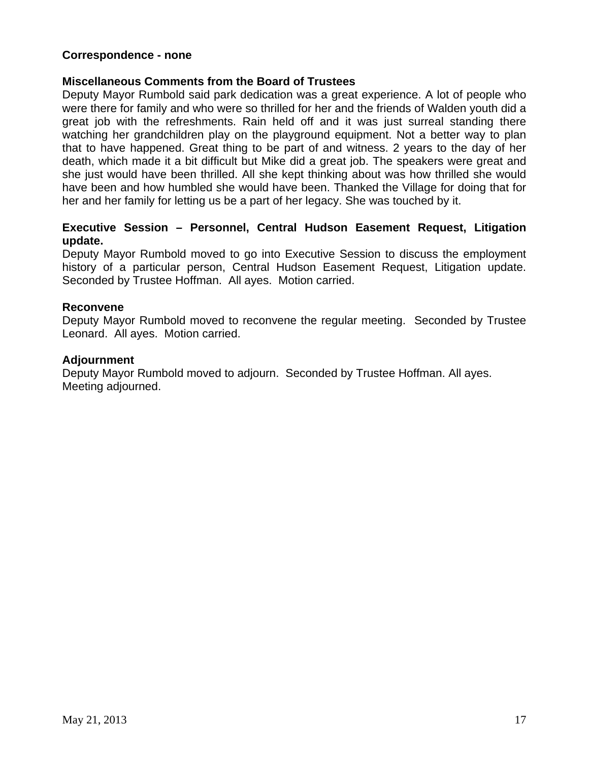### **Correspondence - none**

### **Miscellaneous Comments from the Board of Trustees**

Deputy Mayor Rumbold said park dedication was a great experience. A lot of people who were there for family and who were so thrilled for her and the friends of Walden youth did a great job with the refreshments. Rain held off and it was just surreal standing there watching her grandchildren play on the playground equipment. Not a better way to plan that to have happened. Great thing to be part of and witness. 2 years to the day of her death, which made it a bit difficult but Mike did a great job. The speakers were great and she just would have been thrilled. All she kept thinking about was how thrilled she would have been and how humbled she would have been. Thanked the Village for doing that for her and her family for letting us be a part of her legacy. She was touched by it.

# **Executive Session – Personnel, Central Hudson Easement Request, Litigation update.**

Deputy Mayor Rumbold moved to go into Executive Session to discuss the employment history of a particular person, Central Hudson Easement Request, Litigation update. Seconded by Trustee Hoffman. All ayes. Motion carried.

### **Reconvene**

Deputy Mayor Rumbold moved to reconvene the regular meeting. Seconded by Trustee Leonard. All ayes. Motion carried.

### **Adjournment**

Deputy Mayor Rumbold moved to adjourn. Seconded by Trustee Hoffman. All ayes. Meeting adjourned.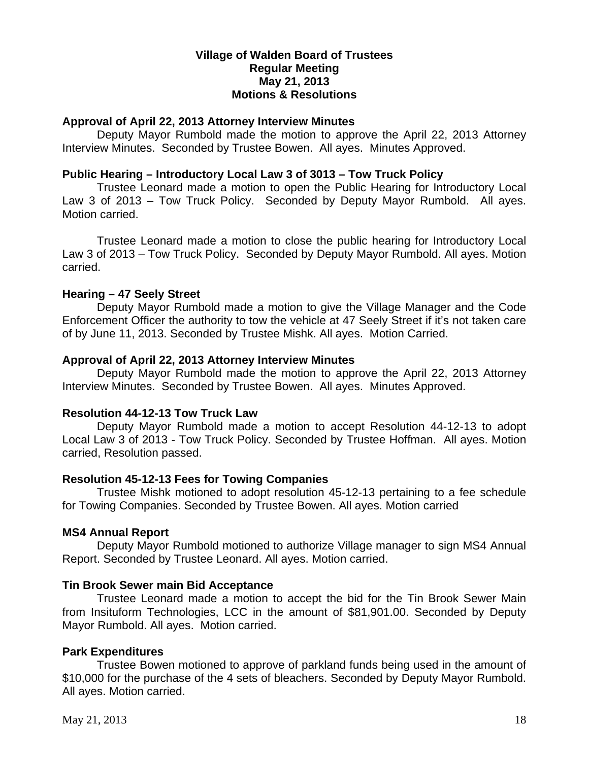### **Village of Walden Board of Trustees Regular Meeting May 21, 2013 Motions & Resolutions**

### **Approval of April 22, 2013 Attorney Interview Minutes**

Deputy Mayor Rumbold made the motion to approve the April 22, 2013 Attorney Interview Minutes. Seconded by Trustee Bowen. All ayes. Minutes Approved.

### **Public Hearing – Introductory Local Law 3 of 3013 – Tow Truck Policy**

Trustee Leonard made a motion to open the Public Hearing for Introductory Local Law 3 of 2013 – Tow Truck Policy. Seconded by Deputy Mayor Rumbold. All ayes. Motion carried.

Trustee Leonard made a motion to close the public hearing for Introductory Local Law 3 of 2013 – Tow Truck Policy. Seconded by Deputy Mayor Rumbold. All ayes. Motion carried.

### **Hearing – 47 Seely Street**

Deputy Mayor Rumbold made a motion to give the Village Manager and the Code Enforcement Officer the authority to tow the vehicle at 47 Seely Street if it's not taken care of by June 11, 2013. Seconded by Trustee Mishk. All ayes. Motion Carried.

### **Approval of April 22, 2013 Attorney Interview Minutes**

Deputy Mayor Rumbold made the motion to approve the April 22, 2013 Attorney Interview Minutes. Seconded by Trustee Bowen. All ayes. Minutes Approved.

### **Resolution 44-12-13 Tow Truck Law**

Deputy Mayor Rumbold made a motion to accept Resolution 44-12-13 to adopt Local Law 3 of 2013 - Tow Truck Policy. Seconded by Trustee Hoffman. All ayes. Motion carried, Resolution passed.

# **Resolution 45-12-13 Fees for Towing Companies**

Trustee Mishk motioned to adopt resolution 45-12-13 pertaining to a fee schedule for Towing Companies. Seconded by Trustee Bowen. All ayes. Motion carried

# **MS4 Annual Report**

Deputy Mayor Rumbold motioned to authorize Village manager to sign MS4 Annual Report. Seconded by Trustee Leonard. All ayes. Motion carried.

### **Tin Brook Sewer main Bid Acceptance**

Trustee Leonard made a motion to accept the bid for the Tin Brook Sewer Main from Insituform Technologies, LCC in the amount of \$81,901.00. Seconded by Deputy Mayor Rumbold. All ayes. Motion carried.

# **Park Expenditures**

Trustee Bowen motioned to approve of parkland funds being used in the amount of \$10,000 for the purchase of the 4 sets of bleachers. Seconded by Deputy Mayor Rumbold. All ayes. Motion carried.